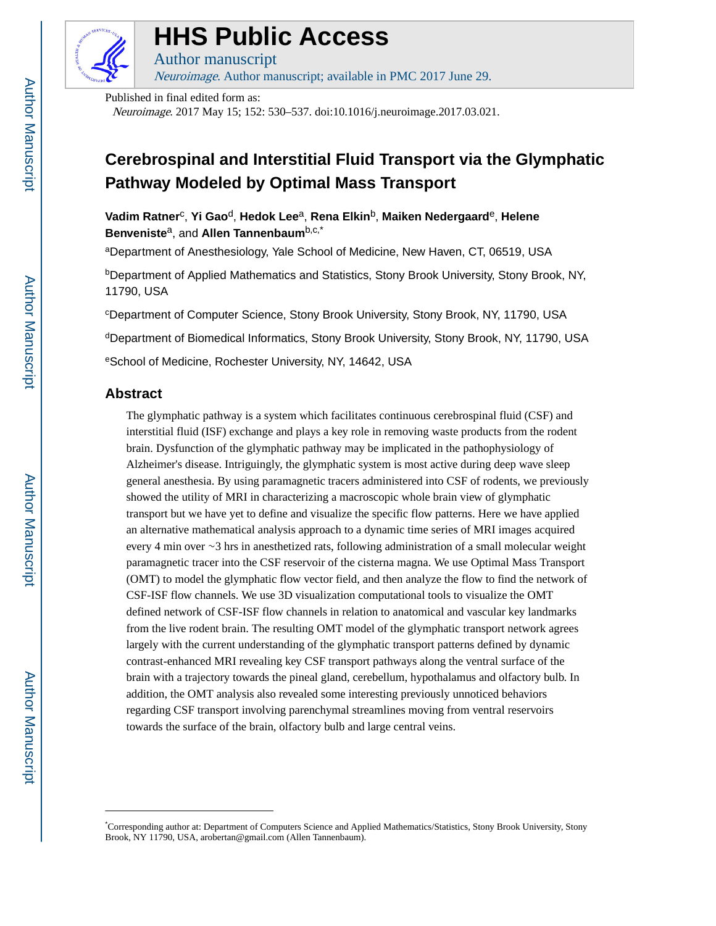

# **HHS Public Access**

Author manuscript Neuroimage. Author manuscript; available in PMC 2017 June 29.

Published in final edited form as: Neuroimage. 2017 May 15; 152: 530–537. doi:10.1016/j.neuroimage.2017.03.021.

# **Cerebrospinal and Interstitial Fluid Transport via the Glymphatic Pathway Modeled by Optimal Mass Transport**

**Vadim Ratner**<sup>c</sup> , **Yi Gao**d, **Hedok Lee**a, **Rena Elkin**b, **Maiken Nedergaard**e, **Helene Benveniste**a, and **Allen Tannenbaum**b,c,\*

<sup>a</sup>Department of Anesthesiology, Yale School of Medicine, New Haven, CT, 06519, USA

**bDepartment of Applied Mathematics and Statistics, Stony Brook University, Stony Brook, NY,** 11790, USA

<sup>c</sup>Department of Computer Science, Stony Brook University, Stony Brook, NY, 11790, USA <sup>d</sup>Department of Biomedical Informatics, Stony Brook University, Stony Brook, NY, 11790, USA <sup>e</sup>School of Medicine, Rochester University, NY, 14642, USA

# **Abstract**

The glymphatic pathway is a system which facilitates continuous cerebrospinal fluid (CSF) and interstitial fluid (ISF) exchange and plays a key role in removing waste products from the rodent brain. Dysfunction of the glymphatic pathway may be implicated in the pathophysiology of Alzheimer's disease. Intriguingly, the glymphatic system is most active during deep wave sleep general anesthesia. By using paramagnetic tracers administered into CSF of rodents, we previously showed the utility of MRI in characterizing a macroscopic whole brain view of glymphatic transport but we have yet to define and visualize the specific flow patterns. Here we have applied an alternative mathematical analysis approach to a dynamic time series of MRI images acquired every 4 min over ∼3 hrs in anesthetized rats, following administration of a small molecular weight paramagnetic tracer into the CSF reservoir of the cisterna magna. We use Optimal Mass Transport (OMT) to model the glymphatic flow vector field, and then analyze the flow to find the network of CSF-ISF flow channels. We use 3D visualization computational tools to visualize the OMT defined network of CSF-ISF flow channels in relation to anatomical and vascular key landmarks from the live rodent brain. The resulting OMT model of the glymphatic transport network agrees largely with the current understanding of the glymphatic transport patterns defined by dynamic contrast-enhanced MRI revealing key CSF transport pathways along the ventral surface of the brain with a trajectory towards the pineal gland, cerebellum, hypothalamus and olfactory bulb. In addition, the OMT analysis also revealed some interesting previously unnoticed behaviors regarding CSF transport involving parenchymal streamlines moving from ventral reservoirs towards the surface of the brain, olfactory bulb and large central veins.

<sup>\*</sup>Corresponding author at: Department of Computers Science and Applied Mathematics/Statistics, Stony Brook University, Stony Brook, NY 11790, USA, arobertan@gmail.com (Allen Tannenbaum).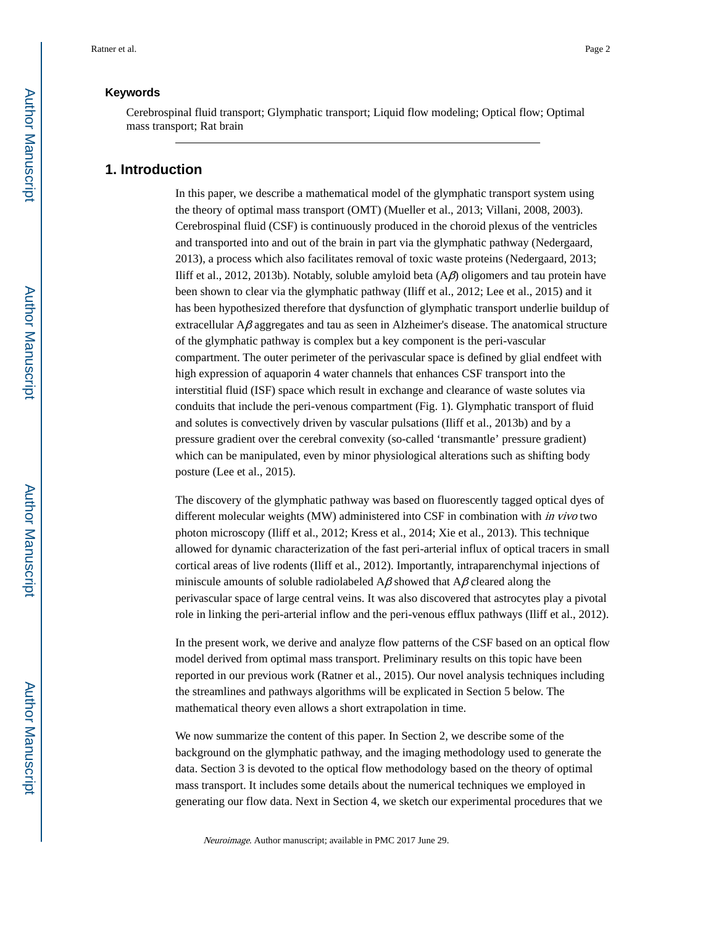# **Keywords**

Cerebrospinal fluid transport; Glymphatic transport; Liquid flow modeling; Optical flow; Optimal mass transport; Rat brain

# **1. Introduction**

In this paper, we describe a mathematical model of the glymphatic transport system using the theory of optimal mass transport (OMT) (Mueller et al., 2013; Villani, 2008, 2003). Cerebrospinal fluid (CSF) is continuously produced in the choroid plexus of the ventricles and transported into and out of the brain in part via the glymphatic pathway (Nedergaard, 2013), a process which also facilitates removal of toxic waste proteins (Nedergaard, 2013; Iliff et al., 2012, 2013b). Notably, soluble amyloid beta (Aβ) oligomers and tau protein have been shown to clear via the glymphatic pathway (Iliff et al., 2012; Lee et al., 2015) and it has been hypothesized therefore that dysfunction of glymphatic transport underlie buildup of extracellular  $A\beta$  aggregates and tau as seen in Alzheimer's disease. The anatomical structure of the glymphatic pathway is complex but a key component is the peri-vascular compartment. The outer perimeter of the perivascular space is defined by glial endfeet with high expression of aquaporin 4 water channels that enhances CSF transport into the interstitial fluid (ISF) space which result in exchange and clearance of waste solutes via conduits that include the peri-venous compartment (Fig. 1). Glymphatic transport of fluid and solutes is convectively driven by vascular pulsations (Iliff et al., 2013b) and by a pressure gradient over the cerebral convexity (so-called 'transmantle' pressure gradient) which can be manipulated, even by minor physiological alterations such as shifting body posture (Lee et al., 2015).

The discovery of the glymphatic pathway was based on fluorescently tagged optical dyes of different molecular weights (MW) administered into CSF in combination with in vivo two photon microscopy (Iliff et al., 2012; Kress et al., 2014; Xie et al., 2013). This technique allowed for dynamic characterization of the fast peri-arterial influx of optical tracers in small cortical areas of live rodents (Iliff et al., 2012). Importantly, intraparenchymal injections of miniscule amounts of soluble radiolabeled  $A\beta$  showed that  $A\beta$  cleared along the perivascular space of large central veins. It was also discovered that astrocytes play a pivotal role in linking the peri-arterial inflow and the peri-venous efflux pathways (Iliff et al., 2012).

In the present work, we derive and analyze flow patterns of the CSF based on an optical flow model derived from optimal mass transport. Preliminary results on this topic have been reported in our previous work (Ratner et al., 2015). Our novel analysis techniques including the streamlines and pathways algorithms will be explicated in Section 5 below. The mathematical theory even allows a short extrapolation in time.

We now summarize the content of this paper. In Section 2, we describe some of the background on the glymphatic pathway, and the imaging methodology used to generate the data. Section 3 is devoted to the optical flow methodology based on the theory of optimal mass transport. It includes some details about the numerical techniques we employed in generating our flow data. Next in Section 4, we sketch our experimental procedures that we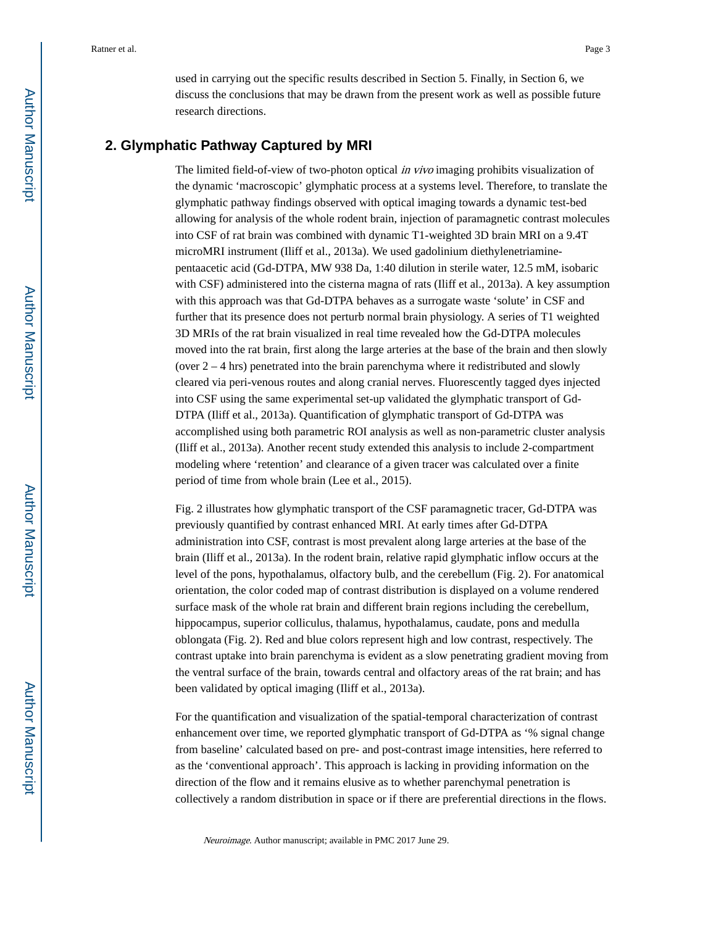used in carrying out the specific results described in Section 5. Finally, in Section 6, we discuss the conclusions that may be drawn from the present work as well as possible future

### **2. Glymphatic Pathway Captured by MRI**

research directions.

The limited field-of-view of two-photon optical *in vivo* imaging prohibits visualization of the dynamic 'macroscopic' glymphatic process at a systems level. Therefore, to translate the glymphatic pathway findings observed with optical imaging towards a dynamic test-bed allowing for analysis of the whole rodent brain, injection of paramagnetic contrast molecules into CSF of rat brain was combined with dynamic T1-weighted 3D brain MRI on a 9.4T microMRI instrument (Iliff et al., 2013a). We used gadolinium diethylenetriaminepentaacetic acid (Gd-DTPA, MW 938 Da, 1:40 dilution in sterile water, 12.5 mM, isobaric with CSF) administered into the cisterna magna of rats (Iliff et al., 2013a). A key assumption with this approach was that Gd-DTPA behaves as a surrogate waste 'solute' in CSF and further that its presence does not perturb normal brain physiology. A series of T1 weighted 3D MRIs of the rat brain visualized in real time revealed how the Gd-DTPA molecules moved into the rat brain, first along the large arteries at the base of the brain and then slowly (over  $2 - 4$  hrs) penetrated into the brain parenchyma where it redistributed and slowly cleared via peri-venous routes and along cranial nerves. Fluorescently tagged dyes injected into CSF using the same experimental set-up validated the glymphatic transport of Gd-DTPA (Iliff et al., 2013a). Quantification of glymphatic transport of Gd-DTPA was accomplished using both parametric ROI analysis as well as non-parametric cluster analysis (Iliff et al., 2013a). Another recent study extended this analysis to include 2-compartment modeling where 'retention' and clearance of a given tracer was calculated over a finite period of time from whole brain (Lee et al., 2015).

Fig. 2 illustrates how glymphatic transport of the CSF paramagnetic tracer, Gd-DTPA was previously quantified by contrast enhanced MRI. At early times after Gd-DTPA administration into CSF, contrast is most prevalent along large arteries at the base of the brain (Iliff et al., 2013a). In the rodent brain, relative rapid glymphatic inflow occurs at the level of the pons, hypothalamus, olfactory bulb, and the cerebellum (Fig. 2). For anatomical orientation, the color coded map of contrast distribution is displayed on a volume rendered surface mask of the whole rat brain and different brain regions including the cerebellum, hippocampus, superior colliculus, thalamus, hypothalamus, caudate, pons and medulla oblongata (Fig. 2). Red and blue colors represent high and low contrast, respectively. The contrast uptake into brain parenchyma is evident as a slow penetrating gradient moving from the ventral surface of the brain, towards central and olfactory areas of the rat brain; and has been validated by optical imaging (Iliff et al., 2013a).

For the quantification and visualization of the spatial-temporal characterization of contrast enhancement over time, we reported glymphatic transport of Gd-DTPA as '% signal change from baseline' calculated based on pre- and post-contrast image intensities, here referred to as the 'conventional approach'. This approach is lacking in providing information on the direction of the flow and it remains elusive as to whether parenchymal penetration is collectively a random distribution in space or if there are preferential directions in the flows.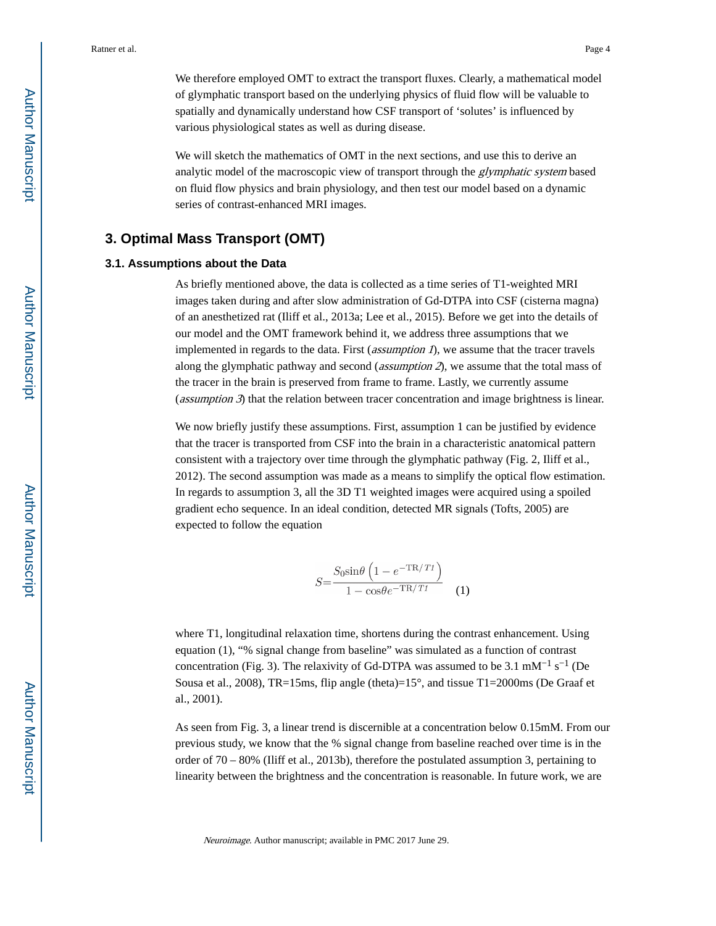We therefore employed OMT to extract the transport fluxes. Clearly, a mathematical model of glymphatic transport based on the underlying physics of fluid flow will be valuable to spatially and dynamically understand how CSF transport of 'solutes' is influenced by various physiological states as well as during disease.

We will sketch the mathematics of OMT in the next sections, and use this to derive an analytic model of the macroscopic view of transport through the *glymphatic system* based on fluid flow physics and brain physiology, and then test our model based on a dynamic series of contrast-enhanced MRI images.

# **3. Optimal Mass Transport (OMT)**

### **3.1. Assumptions about the Data**

As briefly mentioned above, the data is collected as a time series of T1-weighted MRI images taken during and after slow administration of Gd-DTPA into CSF (cisterna magna) of an anesthetized rat (Iliff et al., 2013a; Lee et al., 2015). Before we get into the details of our model and the OMT framework behind it, we address three assumptions that we implemented in regards to the data. First (*assumption 1*), we assume that the tracer travels along the glymphatic pathway and second (*assumption 2*), we assume that the total mass of the tracer in the brain is preserved from frame to frame. Lastly, we currently assume (*assumption 3*) that the relation between tracer concentration and image brightness is linear.

We now briefly justify these assumptions. First, assumption 1 can be justified by evidence that the tracer is transported from CSF into the brain in a characteristic anatomical pattern consistent with a trajectory over time through the glymphatic pathway (Fig. 2, Iliff et al., 2012). The second assumption was made as a means to simplify the optical flow estimation. In regards to assumption 3, all the 3D T1 weighted images were acquired using a spoiled gradient echo sequence. In an ideal condition, detected MR signals (Tofts, 2005) are expected to follow the equation

$$
S = \frac{S_0 \sin \theta \left( 1 - e^{-\text{TR}/Tt} \right)}{1 - \cos \theta e^{-\text{TR}/Tt}} \quad (1)
$$

where T1, longitudinal relaxation time, shortens during the contrast enhancement. Using equation (1), "% signal change from baseline" was simulated as a function of contrast concentration (Fig. 3). The relaxivity of Gd-DTPA was assumed to be 3.1 mM<sup>-1</sup> s<sup>-1</sup> (De Sousa et al., 2008), TR=15ms, flip angle (theta)=15 $^{\circ}$ , and tissue T1=2000ms (De Graaf et al., 2001).

As seen from Fig. 3, a linear trend is discernible at a concentration below 0.15mM. From our previous study, we know that the % signal change from baseline reached over time is in the order of 70 – 80% (Iliff et al., 2013b), therefore the postulated assumption 3, pertaining to linearity between the brightness and the concentration is reasonable. In future work, we are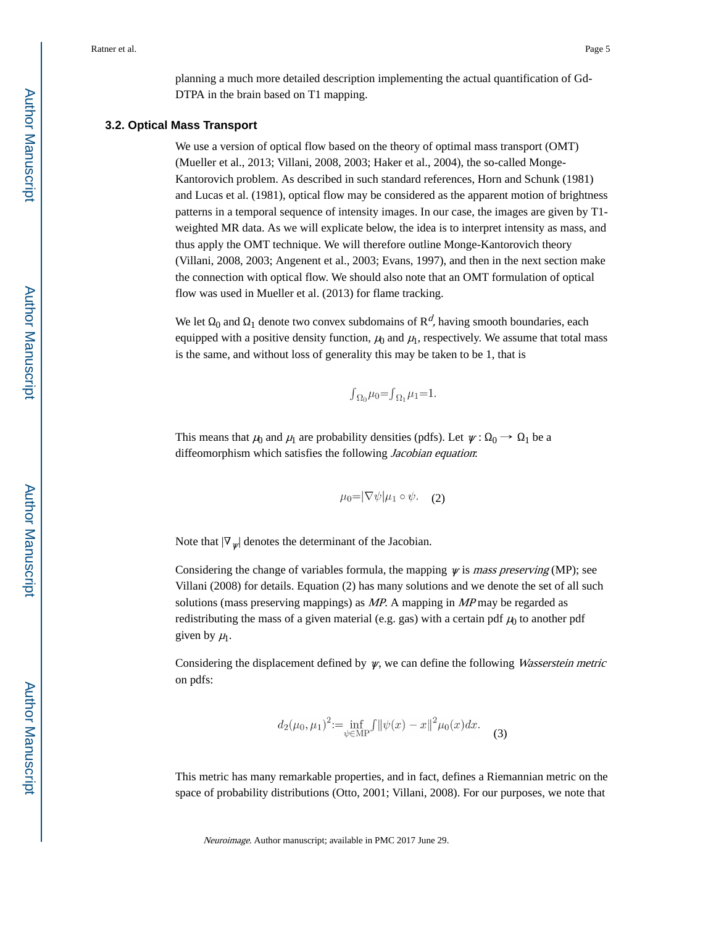planning a much more detailed description implementing the actual quantification of Gd-DTPA in the brain based on T1 mapping.

#### **3.2. Optical Mass Transport**

We use a version of optical flow based on the theory of optimal mass transport (OMT) (Mueller et al., 2013; Villani, 2008, 2003; Haker et al., 2004), the so-called Monge-Kantorovich problem. As described in such standard references, Horn and Schunk (1981) and Lucas et al. (1981), optical flow may be considered as the apparent motion of brightness patterns in a temporal sequence of intensity images. In our case, the images are given by T1 weighted MR data. As we will explicate below, the idea is to interpret intensity as mass, and thus apply the OMT technique. We will therefore outline Monge-Kantorovich theory (Villani, 2008, 2003; Angenent et al., 2003; Evans, 1997), and then in the next section make the connection with optical flow. We should also note that an OMT formulation of optical flow was used in Mueller et al. (2013) for flame tracking.

We let  $\Omega_0$  and  $\Omega_1$  denote two convex subdomains of  $\mathbb{R}^d$ , having smooth boundaries, each equipped with a positive density function,  $\mu_0$  and  $\mu_1$ , respectively. We assume that total mass is the same, and without loss of generality this may be taken to be 1, that is

$$
\int_{\Omega_0} \mu_0 = \int_{\Omega_1} \mu_1 = 1.
$$

This means that  $\mu_0$  and  $\mu_1$  are probability densities (pdfs). Let  $\psi : \Omega_0 \to \Omega_1$  be a diffeomorphism which satisfies the following Jacobian equation:

$$
\mu_0 = |\nabla \psi| \mu_1 \circ \psi. \quad (2)
$$

Note that  $|\nabla_{\psi}|$  denotes the determinant of the Jacobian.

Considering the change of variables formula, the mapping  $\psi$  is mass preserving (MP); see Villani (2008) for details. Equation (2) has many solutions and we denote the set of all such solutions (mass preserving mappings) as MP. A mapping in MP may be regarded as redistributing the mass of a given material (e.g. gas) with a certain pdf  $\mu_0$  to another pdf given by  $\mu_1$ .

Considering the displacement defined by  $\psi$ , we can define the following *Wasserstein metric* on pdfs:

$$
d_2(\mu_0, \mu_1)^2 := \inf_{\psi \in \text{MP}} \int \|\psi(x) - x\|^2 \mu_0(x) dx. \tag{3}
$$

This metric has many remarkable properties, and in fact, defines a Riemannian metric on the space of probability distributions (Otto, 2001; Villani, 2008). For our purposes, we note that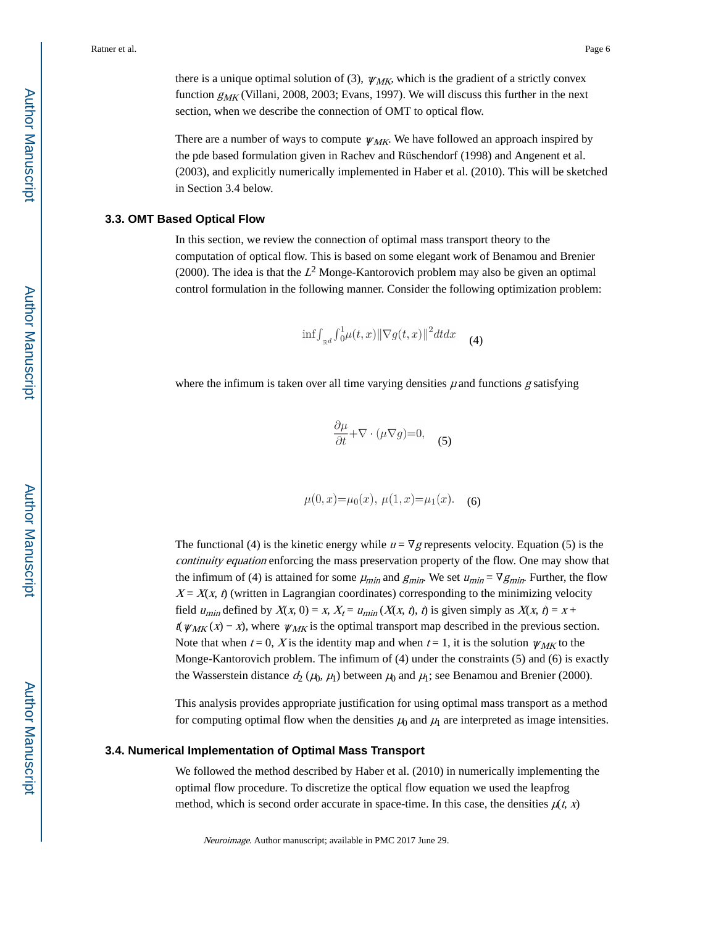there is a unique optimal solution of (3),  $\psi_{MK}$ , which is the gradient of a strictly convex function  $g_{MK}$  (Villani, 2008, 2003; Evans, 1997). We will discuss this further in the next section, when we describe the connection of OMT to optical flow.

There are a number of ways to compute  $\psi_{MK}$ . We have followed an approach inspired by the pde based formulation given in Rachev and Rüschendorf (1998) and Angenent et al. (2003), and explicitly numerically implemented in Haber et al. (2010). This will be sketched in Section 3.4 below.

#### **3.3. OMT Based Optical Flow**

In this section, we review the connection of optimal mass transport theory to the computation of optical flow. This is based on some elegant work of Benamou and Brenier (2000). The idea is that the  $L^2$  Monge-Kantorovich problem may also be given an optimal control formulation in the following manner. Consider the following optimization problem:

$$
\inf \int_{\mathbb{R}^d} \int_0^1 \mu(t, x) \|\nabla g(t, x)\|^2 dt dx \qquad (4)
$$

where the infimum is taken over all time varying densities  $\mu$  and functions  $g$  satisfying

$$
\frac{\partial \mu}{\partial t} + \nabla \cdot (\mu \nabla g) = 0,\tag{5}
$$

$$
\mu(0, x) = \mu_0(x), \ \mu(1, x) = \mu_1(x).
$$
 (6)

The functional (4) is the kinetic energy while  $u = \nabla g$  represents velocity. Equation (5) is the continuity equation enforcing the mass preservation property of the flow. One may show that the infimum of (4) is attained for some  $\mu_{min}$  and  $g_{min}$ . We set  $u_{min} = \nabla g_{min}$ . Further, the flow  $X = X(x, t)$  (written in Lagrangian coordinates) corresponding to the minimizing velocity field  $u_{\text{min}}$  defined by  $X(x, 0) = x$ ,  $X_t = u_{\text{min}}(X(x, t), t)$  is given simply as  $X(x, t) = x +$  $t(\psi_{MK}(x) - x)$ , where  $\psi_{MK}$  is the optimal transport map described in the previous section. Note that when  $t = 0$ , X is the identity map and when  $t = 1$ , it is the solution  $\psi_{MK}$  to the Monge-Kantorovich problem. The infimum of (4) under the constraints (5) and (6) is exactly the Wasserstein distance  $d_2(\mu_0, \mu_1)$  between  $\mu_0$  and  $\mu_1$ ; see Benamou and Brenier (2000).

This analysis provides appropriate justification for using optimal mass transport as a method for computing optimal flow when the densities  $\mu_0$  and  $\mu_1$  are interpreted as image intensities.

#### **3.4. Numerical Implementation of Optimal Mass Transport**

We followed the method described by Haber et al. (2010) in numerically implementing the optimal flow procedure. To discretize the optical flow equation we used the leapfrog method, which is second order accurate in space-time. In this case, the densities  $\mu(t, x)$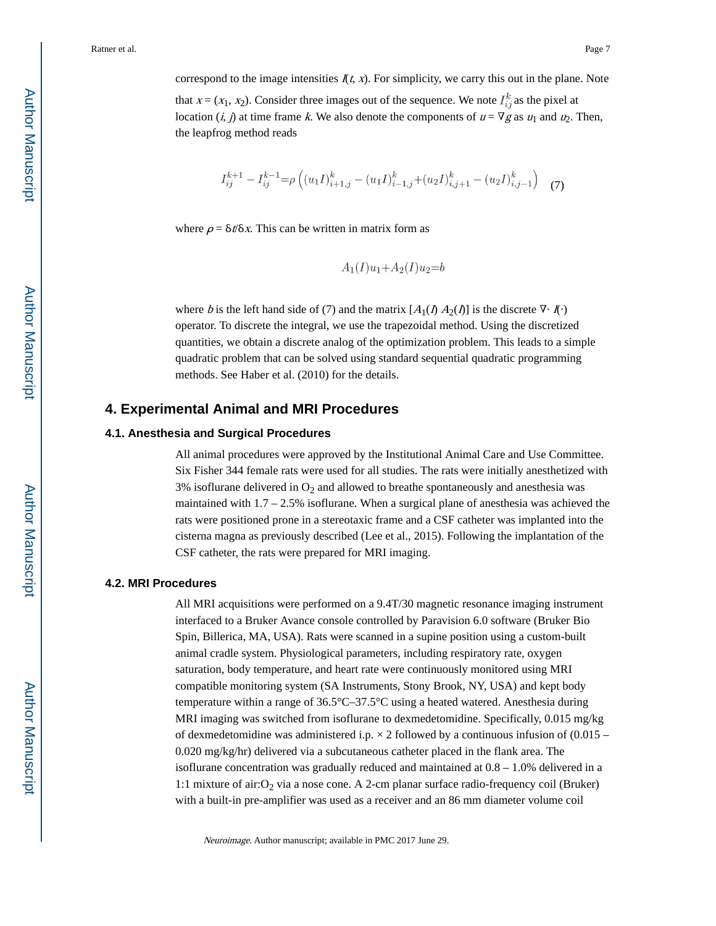correspond to the image intensities  $\mathcal{I}(t, x)$ . For simplicity, we carry this out in the plane. Note that  $x = (x_1, x_2)$ . Consider three images out of the sequence. We note  $I_{ij}^k$  as the pixel at location (i, j) at time frame k. We also denote the components of  $u = \nabla g$  as  $u_1$  and  $u_2$ . Then, the leapfrog method reads

$$
I_{ij}^{k+1} - I_{ij}^{k-1} = \rho \left( (u_1 I)_{i+1,j}^k - (u_1 I)_{i-1,j}^k + (u_2 I)_{i,j+1}^k - (u_2 I)_{i,j-1}^k \right)
$$
 (7)

where  $\rho = \delta t / \delta x$ . This can be written in matrix form as

$$
A_1(I)u_1 + A_2(I)u_2 = b
$$

where b is the left hand side of (7) and the matrix  $[A_1(I) A_2(I)]$  is the discrete  $\nabla \cdot \vec{I}(\cdot)$ operator. To discrete the integral, we use the trapezoidal method. Using the discretized quantities, we obtain a discrete analog of the optimization problem. This leads to a simple quadratic problem that can be solved using standard sequential quadratic programming methods. See Haber et al. (2010) for the details.

# **4. Experimental Animal and MRI Procedures**

#### **4.1. Anesthesia and Surgical Procedures**

All animal procedures were approved by the Institutional Animal Care and Use Committee. Six Fisher 344 female rats were used for all studies. The rats were initially anesthetized with  $3\%$  isoflurane delivered in  $O_2$  and allowed to breathe spontaneously and anesthesia was maintained with 1.7 – 2.5% isoflurane. When a surgical plane of anesthesia was achieved the rats were positioned prone in a stereotaxic frame and a CSF catheter was implanted into the cisterna magna as previously described (Lee et al., 2015). Following the implantation of the CSF catheter, the rats were prepared for MRI imaging.

#### **4.2. MRI Procedures**

All MRI acquisitions were performed on a 9.4T/30 magnetic resonance imaging instrument interfaced to a Bruker Avance console controlled by Paravision 6.0 software (Bruker Bio Spin, Billerica, MA, USA). Rats were scanned in a supine position using a custom-built animal cradle system. Physiological parameters, including respiratory rate, oxygen saturation, body temperature, and heart rate were continuously monitored using MRI compatible monitoring system (SA Instruments, Stony Brook, NY, USA) and kept body temperature within a range of 36.5°C–37.5°C using a heated watered. Anesthesia during MRI imaging was switched from isoflurane to dexmedetomidine. Specifically, 0.015 mg/kg of dexmedetomidine was administered i.p.  $\times$  2 followed by a continuous infusion of (0.015 – 0.020 mg/kg/hr) delivered via a subcutaneous catheter placed in the flank area. The isoflurane concentration was gradually reduced and maintained at  $0.8 - 1.0\%$  delivered in a 1:1 mixture of air:  $O_2$  via a nose cone. A 2-cm planar surface radio-frequency coil (Bruker) with a built-in pre-amplifier was used as a receiver and an 86 mm diameter volume coil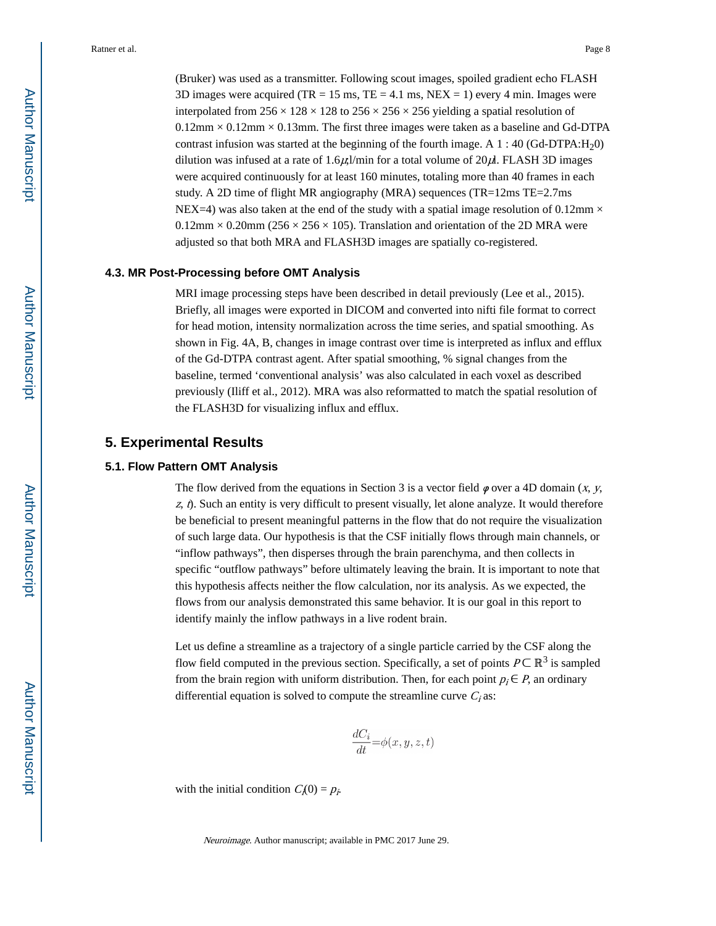(Bruker) was used as a transmitter. Following scout images, spoiled gradient echo FLASH 3D images were acquired (TR = 15 ms, TE = 4.1 ms, NEX = 1) every 4 min. Images were interpolated from  $256 \times 128 \times 128$  to  $256 \times 256 \times 256$  yielding a spatial resolution of  $0.12$ mm  $\times$  0.12mm  $\times$  0.13mm. The first three images were taken as a baseline and Gd-DTPA contrast infusion was started at the beginning of the fourth image. A  $1:40$  (Gd-DTPA:H<sub>2</sub>0) dilution was infused at a rate of  $1.6\mu$ ; min for a total volume of  $20\mu$ . FLASH 3D images were acquired continuously for at least 160 minutes, totaling more than 40 frames in each study. A 2D time of flight MR angiography (MRA) sequences (TR=12ms TE=2.7ms NEX=4) was also taken at the end of the study with a spatial image resolution of 0.12mm  $\times$  $0.12$ mm  $\times$  0.20mm (256  $\times$  256  $\times$  105). Translation and orientation of the 2D MRA were adjusted so that both MRA and FLASH3D images are spatially co-registered.

#### **4.3. MR Post-Processing before OMT Analysis**

MRI image processing steps have been described in detail previously (Lee et al., 2015). Briefly, all images were exported in DICOM and converted into nifti file format to correct for head motion, intensity normalization across the time series, and spatial smoothing. As shown in Fig. 4A, B, changes in image contrast over time is interpreted as influx and efflux of the Gd-DTPA contrast agent. After spatial smoothing, % signal changes from the baseline, termed 'conventional analysis' was also calculated in each voxel as described previously (Iliff et al., 2012). MRA was also reformatted to match the spatial resolution of the FLASH3D for visualizing influx and efflux.

# **5. Experimental Results**

#### **5.1. Flow Pattern OMT Analysis**

The flow derived from the equations in Section 3 is a vector field  $\varphi$  over a 4D domain (x, y,  $z$ ,  $\hat{v}$ . Such an entity is very difficult to present visually, let alone analyze. It would therefore be beneficial to present meaningful patterns in the flow that do not require the visualization of such large data. Our hypothesis is that the CSF initially flows through main channels, or "inflow pathways", then disperses through the brain parenchyma, and then collects in specific "outflow pathways" before ultimately leaving the brain. It is important to note that this hypothesis affects neither the flow calculation, nor its analysis. As we expected, the flows from our analysis demonstrated this same behavior. It is our goal in this report to identify mainly the inflow pathways in a live rodent brain.

Let us define a streamline as a trajectory of a single particle carried by the CSF along the flow field computed in the previous section. Specifically, a set of points  $P \subset \mathbb{R}^3$  is sampled from the brain region with uniform distribution. Then, for each point  $p_i \in P$ , an ordinary differential equation is solved to compute the streamline curve  $C_i$  as:

$$
\frac{dC_i}{dt} = \phi(x, y, z, t)
$$

with the initial condition  $C_i(0) = p_i$ .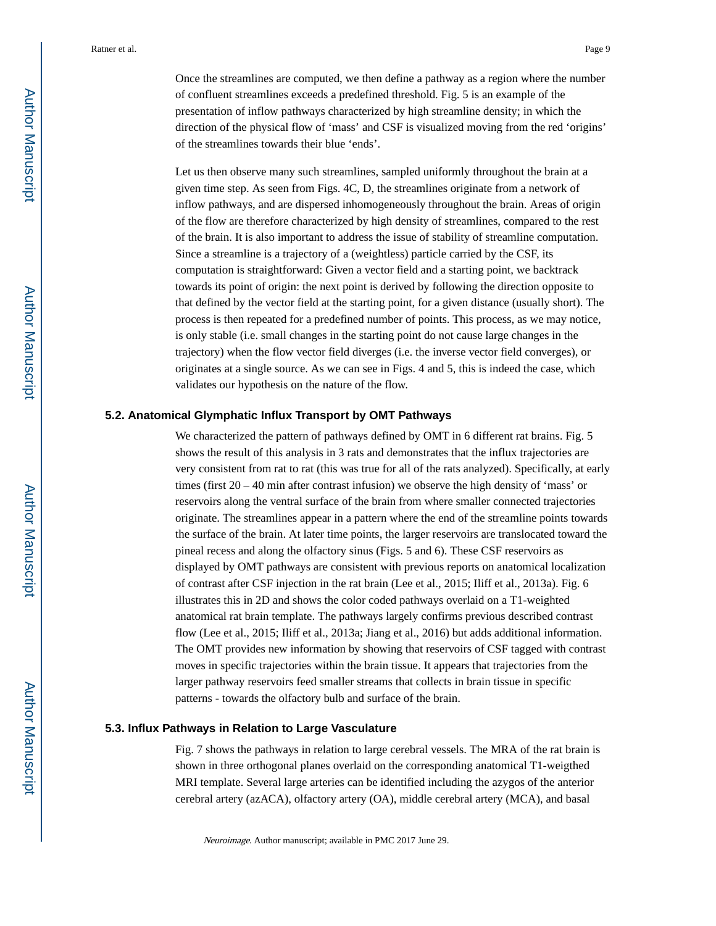Once the streamlines are computed, we then define a pathway as a region where the number of confluent streamlines exceeds a predefined threshold. Fig. 5 is an example of the presentation of inflow pathways characterized by high streamline density; in which the direction of the physical flow of 'mass' and CSF is visualized moving from the red 'origins' of the streamlines towards their blue 'ends'.

Let us then observe many such streamlines, sampled uniformly throughout the brain at a given time step. As seen from Figs. 4C, D, the streamlines originate from a network of inflow pathways, and are dispersed inhomogeneously throughout the brain. Areas of origin of the flow are therefore characterized by high density of streamlines, compared to the rest of the brain. It is also important to address the issue of stability of streamline computation. Since a streamline is a trajectory of a (weightless) particle carried by the CSF, its computation is straightforward: Given a vector field and a starting point, we backtrack towards its point of origin: the next point is derived by following the direction opposite to that defined by the vector field at the starting point, for a given distance (usually short). The process is then repeated for a predefined number of points. This process, as we may notice, is only stable (i.e. small changes in the starting point do not cause large changes in the trajectory) when the flow vector field diverges (i.e. the inverse vector field converges), or originates at a single source. As we can see in Figs. 4 and 5, this is indeed the case, which validates our hypothesis on the nature of the flow.

#### **5.2. Anatomical Glymphatic Influx Transport by OMT Pathways**

We characterized the pattern of pathways defined by OMT in 6 different rat brains. Fig. 5 shows the result of this analysis in 3 rats and demonstrates that the influx trajectories are very consistent from rat to rat (this was true for all of the rats analyzed). Specifically, at early times (first  $20 - 40$  min after contrast infusion) we observe the high density of 'mass' or reservoirs along the ventral surface of the brain from where smaller connected trajectories originate. The streamlines appear in a pattern where the end of the streamline points towards the surface of the brain. At later time points, the larger reservoirs are translocated toward the pineal recess and along the olfactory sinus (Figs. 5 and 6). These CSF reservoirs as displayed by OMT pathways are consistent with previous reports on anatomical localization of contrast after CSF injection in the rat brain (Lee et al., 2015; Iliff et al., 2013a). Fig. 6 illustrates this in 2D and shows the color coded pathways overlaid on a T1-weighted anatomical rat brain template. The pathways largely confirms previous described contrast flow (Lee et al., 2015; Iliff et al., 2013a; Jiang et al., 2016) but adds additional information. The OMT provides new information by showing that reservoirs of CSF tagged with contrast moves in specific trajectories within the brain tissue. It appears that trajectories from the larger pathway reservoirs feed smaller streams that collects in brain tissue in specific patterns - towards the olfactory bulb and surface of the brain.

#### **5.3. Influx Pathways in Relation to Large Vasculature**

Fig. 7 shows the pathways in relation to large cerebral vessels. The MRA of the rat brain is shown in three orthogonal planes overlaid on the corresponding anatomical T1-weigthed MRI template. Several large arteries can be identified including the azygos of the anterior cerebral artery (azACA), olfactory artery (OA), middle cerebral artery (MCA), and basal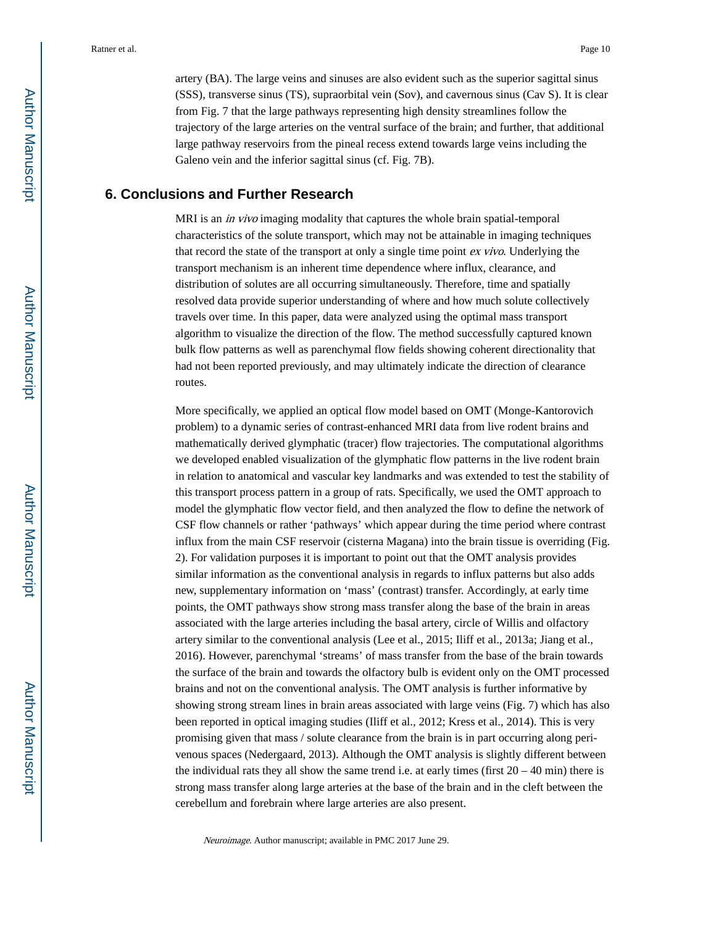artery (BA). The large veins and sinuses are also evident such as the superior sagittal sinus (SSS), transverse sinus (TS), supraorbital vein (Sov), and cavernous sinus (Cav S). It is clear from Fig. 7 that the large pathways representing high density streamlines follow the trajectory of the large arteries on the ventral surface of the brain; and further, that additional large pathway reservoirs from the pineal recess extend towards large veins including the Galeno vein and the inferior sagittal sinus (cf. Fig. 7B).

# **6. Conclusions and Further Research**

MRI is an *in vivo* imaging modality that captures the whole brain spatial-temporal characteristics of the solute transport, which may not be attainable in imaging techniques that record the state of the transport at only a single time point ex vivo. Underlying the transport mechanism is an inherent time dependence where influx, clearance, and distribution of solutes are all occurring simultaneously. Therefore, time and spatially resolved data provide superior understanding of where and how much solute collectively travels over time. In this paper, data were analyzed using the optimal mass transport algorithm to visualize the direction of the flow. The method successfully captured known bulk flow patterns as well as parenchymal flow fields showing coherent directionality that had not been reported previously, and may ultimately indicate the direction of clearance routes.

More specifically, we applied an optical flow model based on OMT (Monge-Kantorovich problem) to a dynamic series of contrast-enhanced MRI data from live rodent brains and mathematically derived glymphatic (tracer) flow trajectories. The computational algorithms we developed enabled visualization of the glymphatic flow patterns in the live rodent brain in relation to anatomical and vascular key landmarks and was extended to test the stability of this transport process pattern in a group of rats. Specifically, we used the OMT approach to model the glymphatic flow vector field, and then analyzed the flow to define the network of CSF flow channels or rather 'pathways' which appear during the time period where contrast influx from the main CSF reservoir (cisterna Magana) into the brain tissue is overriding (Fig. 2). For validation purposes it is important to point out that the OMT analysis provides similar information as the conventional analysis in regards to influx patterns but also adds new, supplementary information on 'mass' (contrast) transfer. Accordingly, at early time points, the OMT pathways show strong mass transfer along the base of the brain in areas associated with the large arteries including the basal artery, circle of Willis and olfactory artery similar to the conventional analysis (Lee et al., 2015; Iliff et al., 2013a; Jiang et al., 2016). However, parenchymal 'streams' of mass transfer from the base of the brain towards the surface of the brain and towards the olfactory bulb is evident only on the OMT processed brains and not on the conventional analysis. The OMT analysis is further informative by showing strong stream lines in brain areas associated with large veins (Fig. 7) which has also been reported in optical imaging studies (Iliff et al., 2012; Kress et al., 2014). This is very promising given that mass / solute clearance from the brain is in part occurring along perivenous spaces (Nedergaard, 2013). Although the OMT analysis is slightly different between the individual rats they all show the same trend i.e. at early times (first  $20 - 40$  min) there is strong mass transfer along large arteries at the base of the brain and in the cleft between the cerebellum and forebrain where large arteries are also present.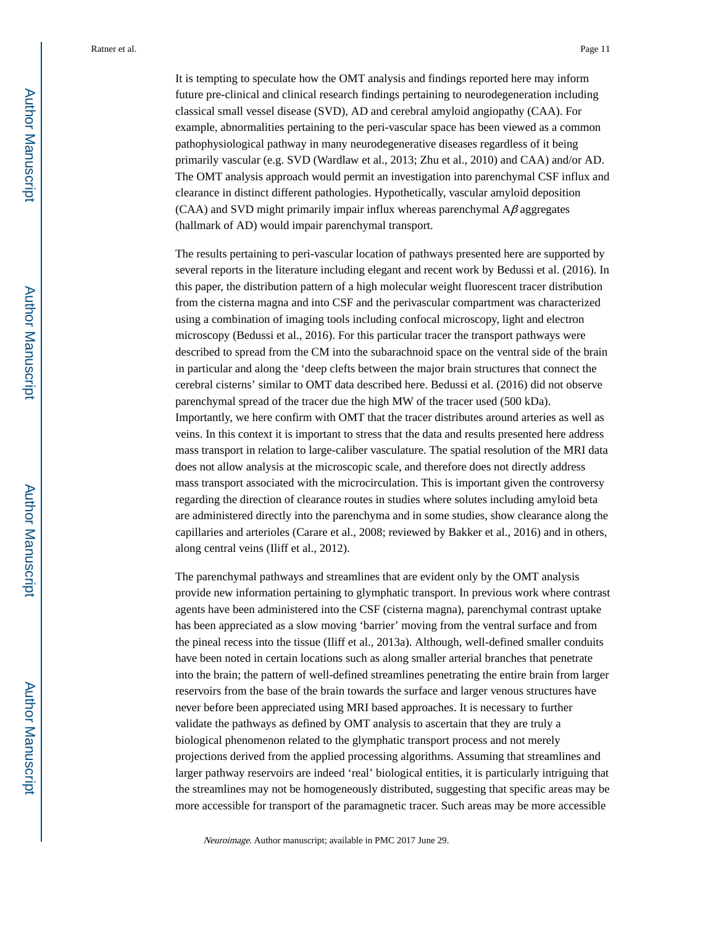It is tempting to speculate how the OMT analysis and findings reported here may inform future pre-clinical and clinical research findings pertaining to neurodegeneration including classical small vessel disease (SVD), AD and cerebral amyloid angiopathy (CAA). For example, abnormalities pertaining to the peri-vascular space has been viewed as a common pathophysiological pathway in many neurodegenerative diseases regardless of it being primarily vascular (e.g. SVD (Wardlaw et al., 2013; Zhu et al., 2010) and CAA) and/or AD. The OMT analysis approach would permit an investigation into parenchymal CSF influx and clearance in distinct different pathologies. Hypothetically, vascular amyloid deposition (CAA) and SVD might primarily impair influx whereas parenchymal  $A\beta$  aggregates (hallmark of AD) would impair parenchymal transport.

The results pertaining to peri-vascular location of pathways presented here are supported by several reports in the literature including elegant and recent work by Bedussi et al. (2016). In this paper, the distribution pattern of a high molecular weight fluorescent tracer distribution from the cisterna magna and into CSF and the perivascular compartment was characterized using a combination of imaging tools including confocal microscopy, light and electron microscopy (Bedussi et al., 2016). For this particular tracer the transport pathways were described to spread from the CM into the subarachnoid space on the ventral side of the brain in particular and along the 'deep clefts between the major brain structures that connect the cerebral cisterns' similar to OMT data described here. Bedussi et al. (2016) did not observe parenchymal spread of the tracer due the high MW of the tracer used (500 kDa). Importantly, we here confirm with OMT that the tracer distributes around arteries as well as veins. In this context it is important to stress that the data and results presented here address mass transport in relation to large-caliber vasculature. The spatial resolution of the MRI data does not allow analysis at the microscopic scale, and therefore does not directly address mass transport associated with the microcirculation. This is important given the controversy regarding the direction of clearance routes in studies where solutes including amyloid beta are administered directly into the parenchyma and in some studies, show clearance along the capillaries and arterioles (Carare et al., 2008; reviewed by Bakker et al., 2016) and in others, along central veins (Iliff et al., 2012).

The parenchymal pathways and streamlines that are evident only by the OMT analysis provide new information pertaining to glymphatic transport. In previous work where contrast agents have been administered into the CSF (cisterna magna), parenchymal contrast uptake has been appreciated as a slow moving 'barrier' moving from the ventral surface and from the pineal recess into the tissue (Iliff et al., 2013a). Although, well-defined smaller conduits have been noted in certain locations such as along smaller arterial branches that penetrate into the brain; the pattern of well-defined streamlines penetrating the entire brain from larger reservoirs from the base of the brain towards the surface and larger venous structures have never before been appreciated using MRI based approaches. It is necessary to further validate the pathways as defined by OMT analysis to ascertain that they are truly a biological phenomenon related to the glymphatic transport process and not merely projections derived from the applied processing algorithms. Assuming that streamlines and larger pathway reservoirs are indeed 'real' biological entities, it is particularly intriguing that the streamlines may not be homogeneously distributed, suggesting that specific areas may be more accessible for transport of the paramagnetic tracer. Such areas may be more accessible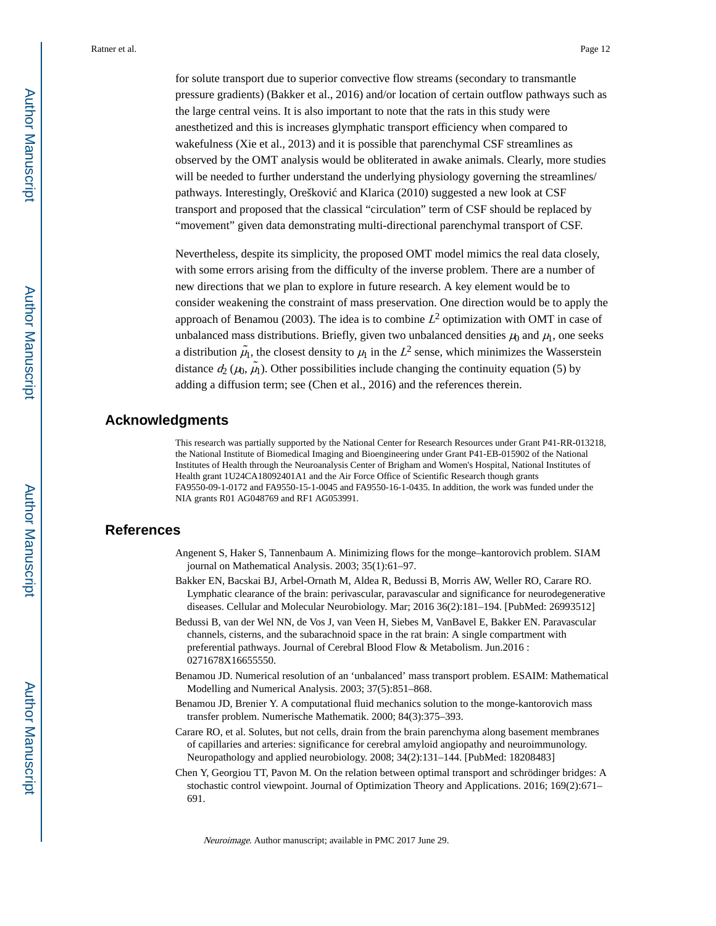for solute transport due to superior convective flow streams (secondary to transmantle pressure gradients) (Bakker et al., 2016) and/or location of certain outflow pathways such as the large central veins. It is also important to note that the rats in this study were anesthetized and this is increases glymphatic transport efficiency when compared to wakefulness (Xie et al., 2013) and it is possible that parenchymal CSF streamlines as observed by the OMT analysis would be obliterated in awake animals. Clearly, more studies will be needed to further understand the underlying physiology governing the streamlines/ pathways. Interestingly, Oreškovi and Klarica (2010) suggested a new look at CSF transport and proposed that the classical "circulation" term of CSF should be replaced by "movement" given data demonstrating multi-directional parenchymal transport of CSF.

Nevertheless, despite its simplicity, the proposed OMT model mimics the real data closely, with some errors arising from the difficulty of the inverse problem. There are a number of new directions that we plan to explore in future research. A key element would be to consider weakening the constraint of mass preservation. One direction would be to apply the approach of Benamou (2003). The idea is to combine  $L^2$  optimization with OMT in case of unbalanced mass distributions. Briefly, given two unbalanced densities  $\mu_0$  and  $\mu_1$ , one seeks a distribution  $\tilde{\mu_1}$ , the closest density to  $\mu_1$  in the  $L^2$  sense, which minimizes the Wasserstein distance  $d_2(\mu_0, \tilde{\mu_1})$ . Other possibilities include changing the continuity equation (5) by adding a diffusion term; see (Chen et al., 2016) and the references therein.

# **Acknowledgments**

This research was partially supported by the National Center for Research Resources under Grant P41-RR-013218, the National Institute of Biomedical Imaging and Bioengineering under Grant P41-EB-015902 of the National Institutes of Health through the Neuroanalysis Center of Brigham and Women's Hospital, National Institutes of Health grant 1U24CA18092401A1 and the Air Force Office of Scientific Research though grants FA9550-09-1-0172 and FA9550-15-1-0045 and FA9550-16-1-0435. In addition, the work was funded under the NIA grants R01 AG048769 and RF1 AG053991.

# **References**

- Angenent S, Haker S, Tannenbaum A. Minimizing flows for the monge–kantorovich problem. SIAM journal on Mathematical Analysis. 2003; 35(1):61–97.
- Bakker EN, Bacskai BJ, Arbel-Ornath M, Aldea R, Bedussi B, Morris AW, Weller RO, Carare RO. Lymphatic clearance of the brain: perivascular, paravascular and significance for neurodegenerative diseases. Cellular and Molecular Neurobiology. Mar; 2016 36(2):181–194. [PubMed: 26993512]
- Bedussi B, van der Wel NN, de Vos J, van Veen H, Siebes M, VanBavel E, Bakker EN. Paravascular channels, cisterns, and the subarachnoid space in the rat brain: A single compartment with preferential pathways. Journal of Cerebral Blood Flow & Metabolism. Jun.2016 : 0271678X16655550.
- Benamou JD. Numerical resolution of an 'unbalanced' mass transport problem. ESAIM: Mathematical Modelling and Numerical Analysis. 2003; 37(5):851–868.
- Benamou JD, Brenier Y. A computational fluid mechanics solution to the monge-kantorovich mass transfer problem. Numerische Mathematik. 2000; 84(3):375–393.
- Carare RO, et al. Solutes, but not cells, drain from the brain parenchyma along basement membranes of capillaries and arteries: significance for cerebral amyloid angiopathy and neuroimmunology. Neuropathology and applied neurobiology. 2008; 34(2):131–144. [PubMed: 18208483]
- Chen Y, Georgiou TT, Pavon M. On the relation between optimal transport and schrödinger bridges: A stochastic control viewpoint. Journal of Optimization Theory and Applications. 2016; 169(2):671– 691.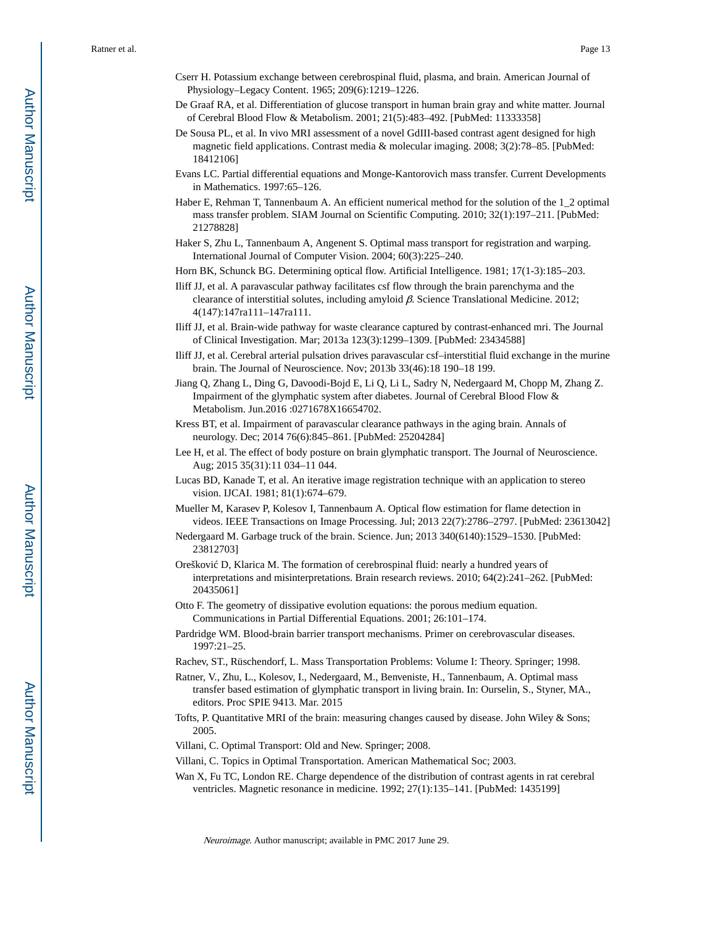- Cserr H. Potassium exchange between cerebrospinal fluid, plasma, and brain. American Journal of Physiology–Legacy Content. 1965; 209(6):1219–1226.
- De Graaf RA, et al. Differentiation of glucose transport in human brain gray and white matter. Journal of Cerebral Blood Flow & Metabolism. 2001; 21(5):483–492. [PubMed: 11333358]
- De Sousa PL, et al. In vivo MRI assessment of a novel GdIII-based contrast agent designed for high magnetic field applications. Contrast media & molecular imaging. 2008; 3(2):78–85. [PubMed: 18412106]
- Evans LC. Partial differential equations and Monge-Kantorovich mass transfer. Current Developments in Mathematics. 1997:65–126.
- Haber E, Rehman T, Tannenbaum A. An efficient numerical method for the solution of the 1\_2 optimal mass transfer problem. SIAM Journal on Scientific Computing. 2010; 32(1):197–211. [PubMed: 21278828]
- Haker S, Zhu L, Tannenbaum A, Angenent S. Optimal mass transport for registration and warping. International Journal of Computer Vision. 2004; 60(3):225–240.
- Horn BK, Schunck BG. Determining optical flow. Artificial Intelligence. 1981; 17(1-3):185–203.
- Iliff JJ, et al. A paravascular pathway facilitates csf flow through the brain parenchyma and the clearance of interstitial solutes, including amyloid β. Science Translational Medicine. 2012; 4(147):147ra111–147ra111.
- Iliff JJ, et al. Brain-wide pathway for waste clearance captured by contrast-enhanced mri. The Journal of Clinical Investigation. Mar; 2013a 123(3):1299–1309. [PubMed: 23434588]
- Iliff JJ, et al. Cerebral arterial pulsation drives paravascular csf–interstitial fluid exchange in the murine brain. The Journal of Neuroscience. Nov; 2013b 33(46):18 190–18 199.
- Jiang Q, Zhang L, Ding G, Davoodi-Bojd E, Li Q, Li L, Sadry N, Nedergaard M, Chopp M, Zhang Z. Impairment of the glymphatic system after diabetes. Journal of Cerebral Blood Flow & Metabolism. Jun.2016 :0271678X16654702.
- Kress BT, et al. Impairment of paravascular clearance pathways in the aging brain. Annals of neurology. Dec; 2014 76(6):845–861. [PubMed: 25204284]
- Lee H, et al. The effect of body posture on brain glymphatic transport. The Journal of Neuroscience. Aug; 2015 35(31):11 034–11 044.
- Lucas BD, Kanade T, et al. An iterative image registration technique with an application to stereo vision. IJCAI. 1981; 81(1):674–679.
- Mueller M, Karasev P, Kolesov I, Tannenbaum A. Optical flow estimation for flame detection in videos. IEEE Transactions on Image Processing. Jul; 2013 22(7):2786–2797. [PubMed: 23613042]
- Nedergaard M. Garbage truck of the brain. Science. Jun; 2013 340(6140):1529–1530. [PubMed: 23812703]
- Orešković D, Klarica M. The formation of cerebrospinal fluid: nearly a hundred years of interpretations and misinterpretations. Brain research reviews. 2010; 64(2):241–262. [PubMed: 20435061]
- Otto F. The geometry of dissipative evolution equations: the porous medium equation. Communications in Partial Differential Equations. 2001; 26:101–174.
- Pardridge WM. Blood-brain barrier transport mechanisms. Primer on cerebrovascular diseases. 1997:21–25.
- Rachev, ST., Rüschendorf, L. Mass Transportation Problems: Volume I: Theory. Springer; 1998.
- Ratner, V., Zhu, L., Kolesov, I., Nedergaard, M., Benveniste, H., Tannenbaum, A. Optimal mass transfer based estimation of glymphatic transport in living brain. In: Ourselin, S., Styner, MA., editors. Proc SPIE 9413. Mar. 2015
- Tofts, P. Quantitative MRI of the brain: measuring changes caused by disease. John Wiley & Sons; 2005.
- Villani, C. Optimal Transport: Old and New. Springer; 2008.
- Villani, C. Topics in Optimal Transportation. American Mathematical Soc; 2003.
- Wan X, Fu TC, London RE. Charge dependence of the distribution of contrast agents in rat cerebral ventricles. Magnetic resonance in medicine. 1992; 27(1):135–141. [PubMed: 1435199]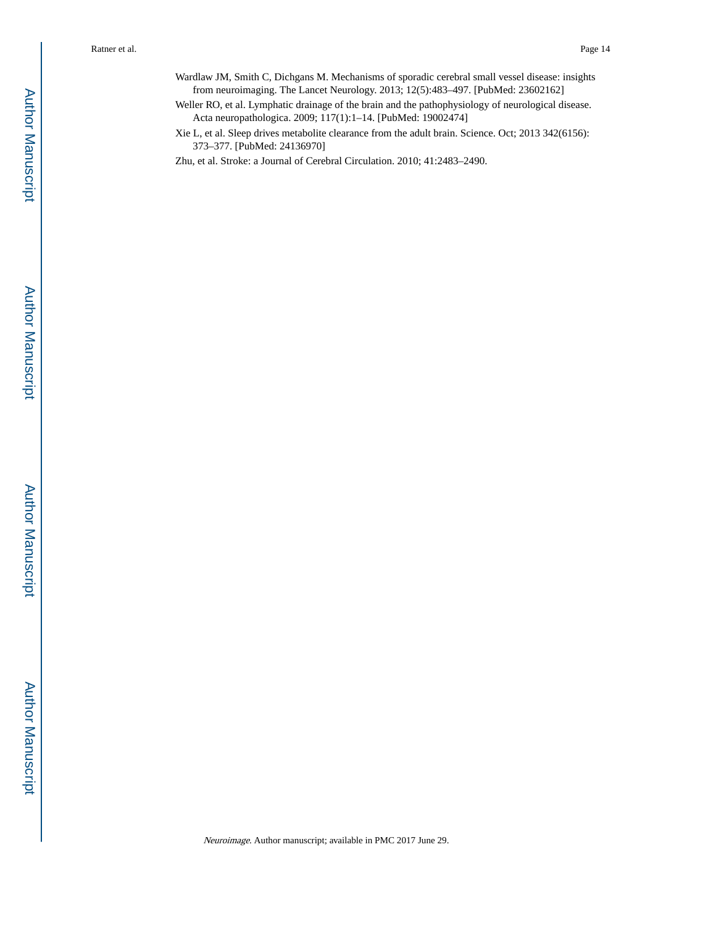Wardlaw JM, Smith C, Dichgans M. Mechanisms of sporadic cerebral small vessel disease: insights from neuroimaging. The Lancet Neurology. 2013; 12(5):483–497. [PubMed: 23602162]

Weller RO, et al. Lymphatic drainage of the brain and the pathophysiology of neurological disease. Acta neuropathologica. 2009; 117(1):1–14. [PubMed: 19002474]

Xie L, et al. Sleep drives metabolite clearance from the adult brain. Science. Oct; 2013 342(6156): 373–377. [PubMed: 24136970]

Zhu, et al. Stroke: a Journal of Cerebral Circulation. 2010; 41:2483–2490.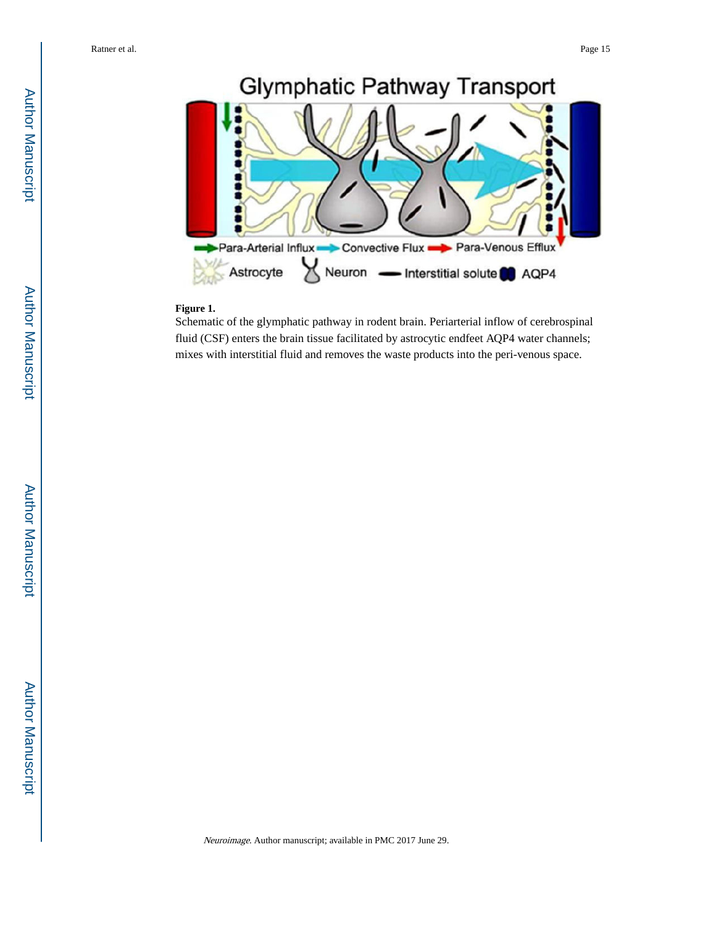

# **Figure 1.**

Schematic of the glymphatic pathway in rodent brain. Periarterial inflow of cerebrospinal fluid (CSF) enters the brain tissue facilitated by astrocytic endfeet AQP4 water channels; mixes with interstitial fluid and removes the waste products into the peri-venous space.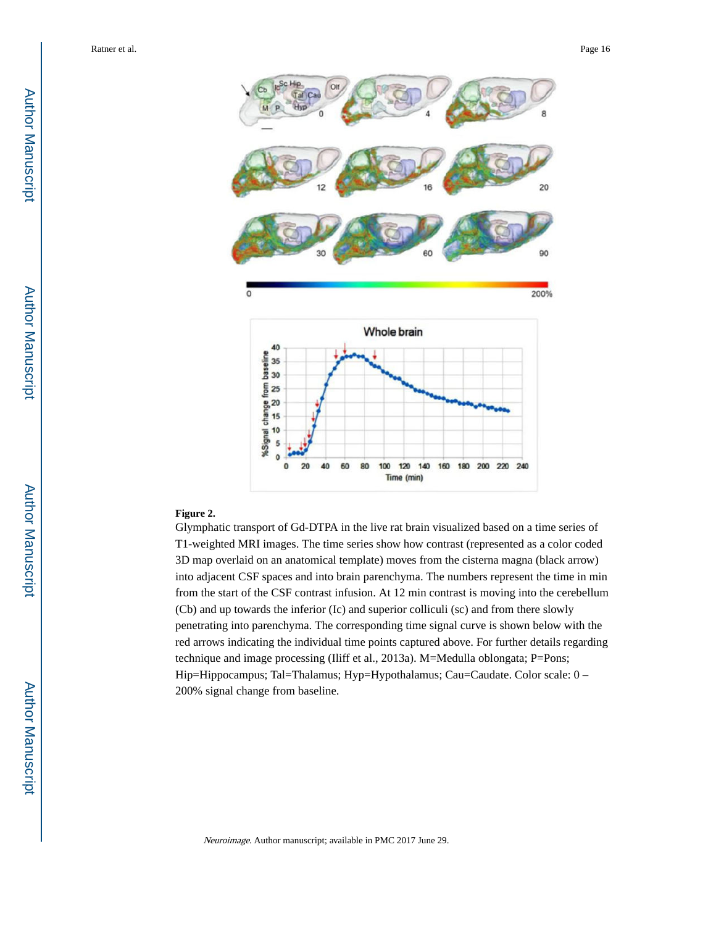

#### **Figure 2.**

Glymphatic transport of Gd-DTPA in the live rat brain visualized based on a time series of T1-weighted MRI images. The time series show how contrast (represented as a color coded 3D map overlaid on an anatomical template) moves from the cisterna magna (black arrow) into adjacent CSF spaces and into brain parenchyma. The numbers represent the time in min from the start of the CSF contrast infusion. At 12 min contrast is moving into the cerebellum (Cb) and up towards the inferior (Ic) and superior colliculi (sc) and from there slowly penetrating into parenchyma. The corresponding time signal curve is shown below with the red arrows indicating the individual time points captured above. For further details regarding technique and image processing (Iliff et al., 2013a). M=Medulla oblongata; P=Pons; Hip=Hippocampus; Tal=Thalamus; Hyp=Hypothalamus; Cau=Caudate. Color scale: 0 – 200% signal change from baseline.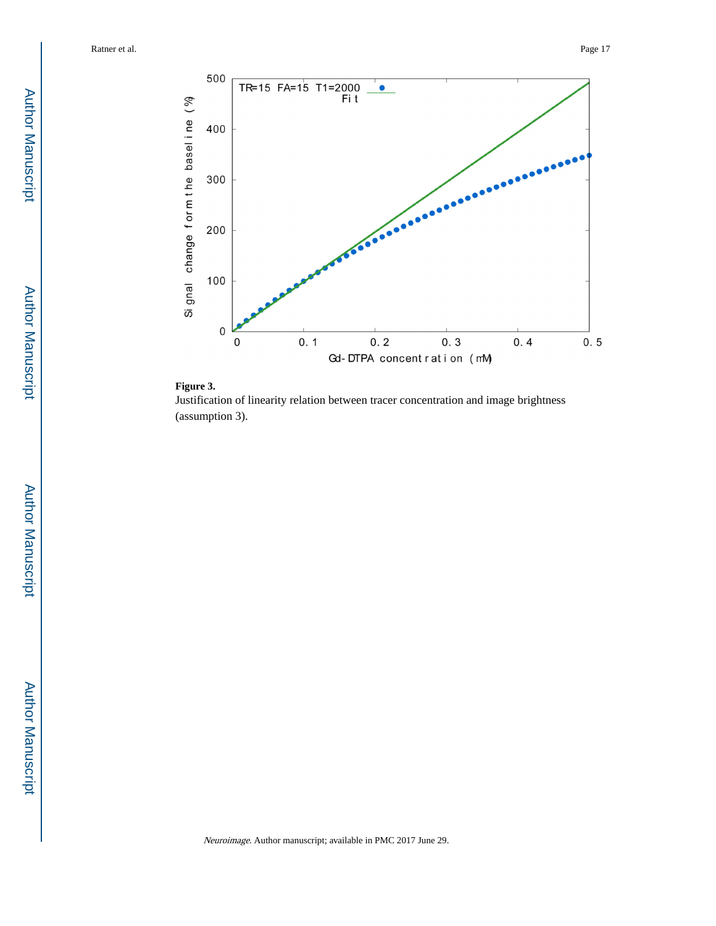



Justification of linearity relation between tracer concentration and image brightness (assumption 3).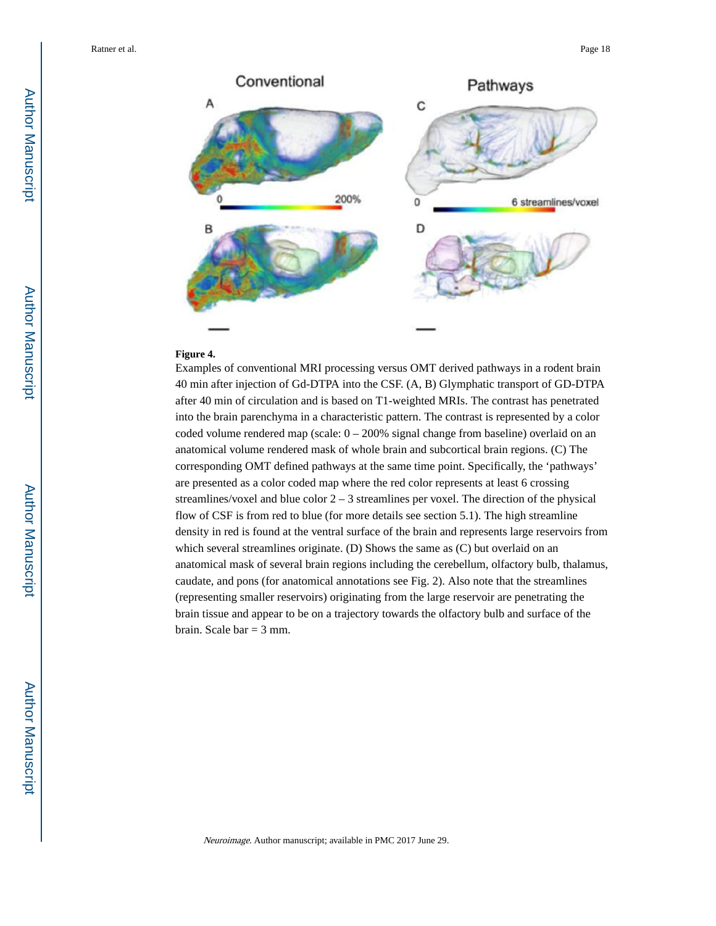

### **Figure 4.**

Examples of conventional MRI processing versus OMT derived pathways in a rodent brain 40 min after injection of Gd-DTPA into the CSF. (A, B) Glymphatic transport of GD-DTPA after 40 min of circulation and is based on T1-weighted MRIs. The contrast has penetrated into the brain parenchyma in a characteristic pattern. The contrast is represented by a color coded volume rendered map (scale:  $0 - 200\%$  signal change from baseline) overlaid on an anatomical volume rendered mask of whole brain and subcortical brain regions. (C) The corresponding OMT defined pathways at the same time point. Specifically, the 'pathways' are presented as a color coded map where the red color represents at least 6 crossing streamlines/voxel and blue color  $2 - 3$  streamlines per voxel. The direction of the physical flow of CSF is from red to blue (for more details see section 5.1). The high streamline density in red is found at the ventral surface of the brain and represents large reservoirs from which several streamlines originate. (D) Shows the same as (C) but overlaid on an anatomical mask of several brain regions including the cerebellum, olfactory bulb, thalamus, caudate, and pons (for anatomical annotations see Fig. 2). Also note that the streamlines (representing smaller reservoirs) originating from the large reservoir are penetrating the brain tissue and appear to be on a trajectory towards the olfactory bulb and surface of the brain. Scale bar  $=$  3 mm.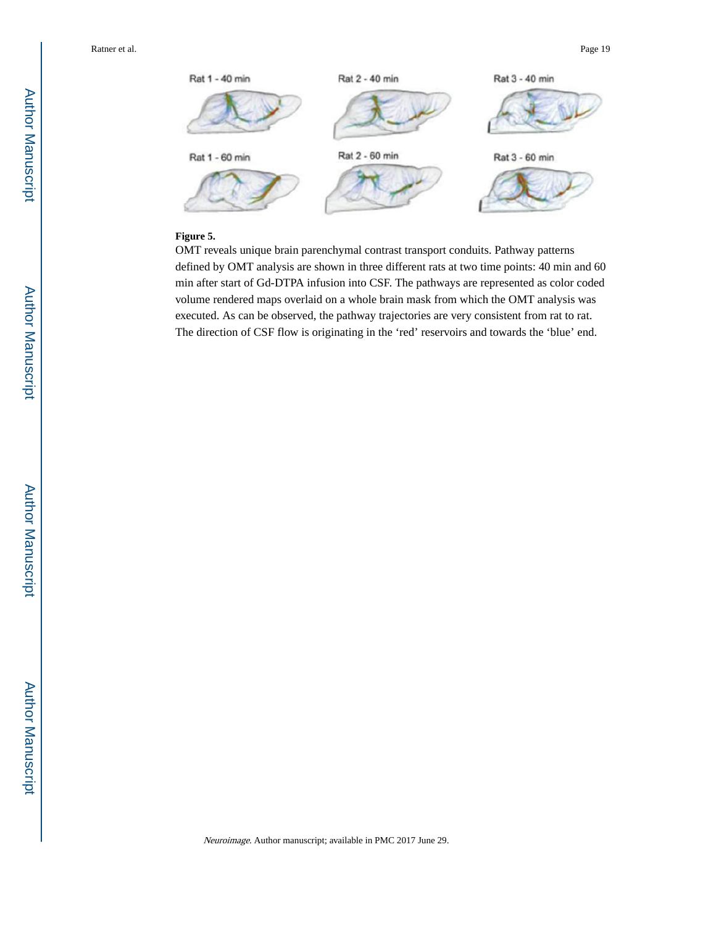

#### **Figure 5.**

OMT reveals unique brain parenchymal contrast transport conduits. Pathway patterns defined by OMT analysis are shown in three different rats at two time points: 40 min and 60 min after start of Gd-DTPA infusion into CSF. The pathways are represented as color coded volume rendered maps overlaid on a whole brain mask from which the OMT analysis was executed. As can be observed, the pathway trajectories are very consistent from rat to rat. The direction of CSF flow is originating in the 'red' reservoirs and towards the 'blue' end.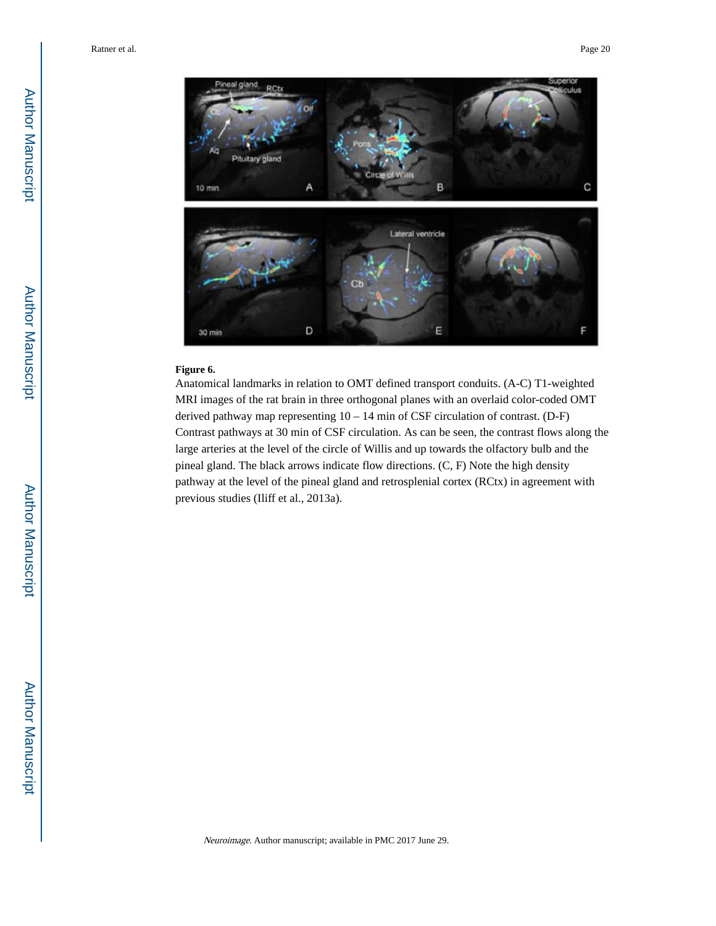

#### **Figure 6.**

Anatomical landmarks in relation to OMT defined transport conduits. (A-C) T1-weighted MRI images of the rat brain in three orthogonal planes with an overlaid color-coded OMT derived pathway map representing 10 – 14 min of CSF circulation of contrast. (D-F) Contrast pathways at 30 min of CSF circulation. As can be seen, the contrast flows along the large arteries at the level of the circle of Willis and up towards the olfactory bulb and the pineal gland. The black arrows indicate flow directions. (C, F) Note the high density pathway at the level of the pineal gland and retrosplenial cortex (RCtx) in agreement with previous studies (Iliff et al., 2013a).